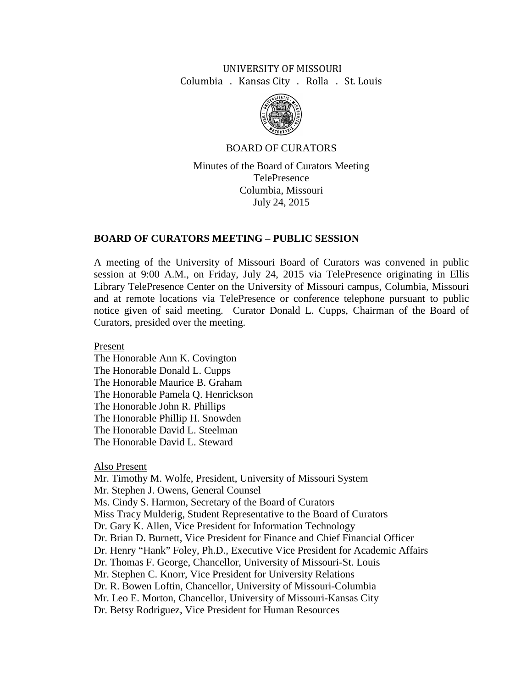# UNIVERSITY OF MISSOURI Columbia . Kansas City . Rolla . St. Louis



# BOARD OF CURATORS

Minutes of the Board of Curators Meeting TelePresence Columbia, Missouri July 24, 2015

# **BOARD OF CURATORS MEETING – PUBLIC SESSION**

A meeting of the University of Missouri Board of Curators was convened in public session at 9:00 A.M., on Friday, July 24, 2015 via TelePresence originating in Ellis Library TelePresence Center on the University of Missouri campus, Columbia, Missouri and at remote locations via TelePresence or conference telephone pursuant to public notice given of said meeting. Curator Donald L. Cupps, Chairman of the Board of Curators, presided over the meeting.

Present

The Honorable Ann K. Covington The Honorable Donald L. Cupps The Honorable Maurice B. Graham The Honorable Pamela Q. Henrickson The Honorable John R. Phillips The Honorable Phillip H. Snowden The Honorable David L. Steelman The Honorable David L. Steward

# Also Present

Mr. Timothy M. Wolfe, President, University of Missouri System Mr. Stephen J. Owens, General Counsel Ms. Cindy S. Harmon, Secretary of the Board of Curators Miss Tracy Mulderig, Student Representative to the Board of Curators Dr. Gary K. Allen, Vice President for Information Technology Dr. Brian D. Burnett, Vice President for Finance and Chief Financial Officer Dr. Henry "Hank" Foley, Ph.D., Executive Vice President for Academic Affairs Dr. Thomas F. George, Chancellor, University of Missouri-St. Louis Mr. Stephen C. Knorr, Vice President for University Relations Dr. R. Bowen Loftin, Chancellor, University of Missouri-Columbia Mr. Leo E. Morton, Chancellor, University of Missouri-Kansas City Dr. Betsy Rodriguez, Vice President for Human Resources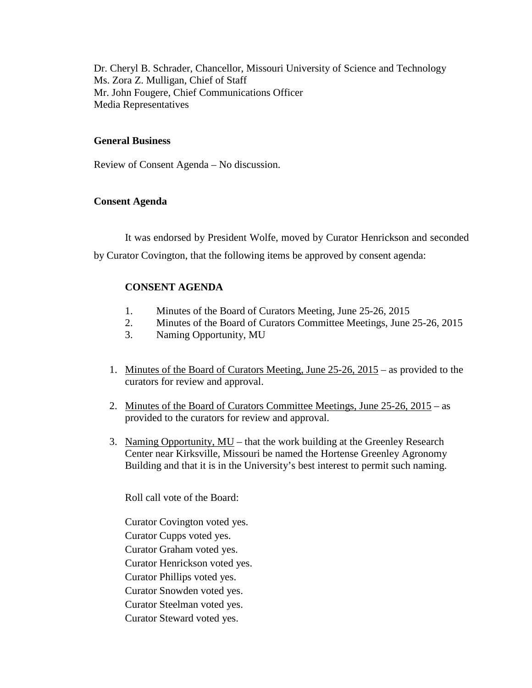Dr. Cheryl B. Schrader, Chancellor, Missouri University of Science and Technology Ms. Zora Z. Mulligan, Chief of Staff Mr. John Fougere, Chief Communications Officer Media Representatives

## **General Business**

Review of Consent Agenda – No discussion.

## **Consent Agenda**

It was endorsed by President Wolfe, moved by Curator Henrickson and seconded by Curator Covington, that the following items be approved by consent agenda:

# **CONSENT AGENDA**

- 1. Minutes of the Board of Curators Meeting, June 25-26, 2015
- 2. Minutes of the Board of Curators Committee Meetings, June 25-26, 2015
- 3. Naming Opportunity, MU
- 1. Minutes of the Board of Curators Meeting, June 25-26, 2015 as provided to the curators for review and approval.
- 2. Minutes of the Board of Curators Committee Meetings, June 25-26, 2015 as provided to the curators for review and approval.
- 3. Naming Opportunity, MU that the work building at the Greenley Research Center near Kirksville, Missouri be named the Hortense Greenley Agronomy Building and that it is in the University's best interest to permit such naming.

Roll call vote of the Board:

Curator Covington voted yes. Curator Cupps voted yes. Curator Graham voted yes. Curator Henrickson voted yes. Curator Phillips voted yes. Curator Snowden voted yes. Curator Steelman voted yes. Curator Steward voted yes.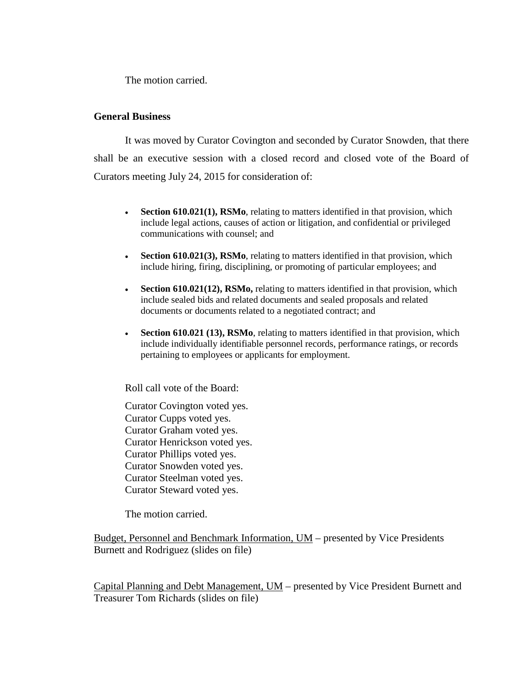The motion carried.

## **General Business**

It was moved by Curator Covington and seconded by Curator Snowden, that there shall be an executive session with a closed record and closed vote of the Board of Curators meeting July 24, 2015 for consideration of:

- **Section 610.021(1), RSMo**, relating to matters identified in that provision, which include legal actions, causes of action or litigation, and confidential or privileged communications with counsel; and
- **Section 610.021(3), RSMo**, relating to matters identified in that provision, which include hiring, firing, disciplining, or promoting of particular employees; and
- **Section 610.021(12), RSMo,** relating to matters identified in that provision, which include sealed bids and related documents and sealed proposals and related documents or documents related to a negotiated contract; and
- **Section 610.021 (13), RSMo**, relating to matters identified in that provision, which include individually identifiable personnel records, performance ratings, or records pertaining to employees or applicants for employment.

Roll call vote of the Board:

Curator Covington voted yes. Curator Cupps voted yes. Curator Graham voted yes. Curator Henrickson voted yes. Curator Phillips voted yes. Curator Snowden voted yes. Curator Steelman voted yes. Curator Steward voted yes.

The motion carried.

Budget, Personnel and Benchmark Information, UM – presented by Vice Presidents Burnett and Rodriguez (slides on file)

Capital Planning and Debt Management, UM – presented by Vice President Burnett and Treasurer Tom Richards (slides on file)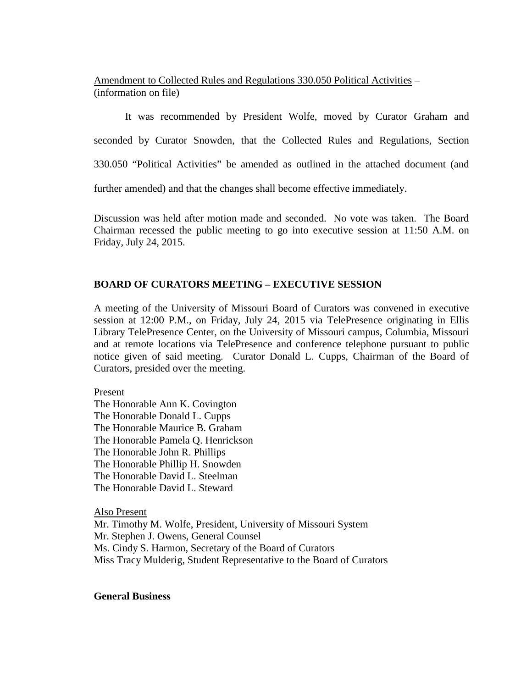Amendment to Collected Rules and Regulations 330.050 Political Activities – (information on file)

It was recommended by President Wolfe, moved by Curator Graham and

seconded by Curator Snowden, that the Collected Rules and Regulations, Section

330.050 "Political Activities" be amended as outlined in the attached document (and

further amended) and that the changes shall become effective immediately.

Discussion was held after motion made and seconded. No vote was taken. The Board Chairman recessed the public meeting to go into executive session at 11:50 A.M. on Friday, July 24, 2015.

# **BOARD OF CURATORS MEETING – EXECUTIVE SESSION**

A meeting of the University of Missouri Board of Curators was convened in executive session at 12:00 P.M., on Friday, July 24, 2015 via TelePresence originating in Ellis Library TelePresence Center, on the University of Missouri campus, Columbia, Missouri and at remote locations via TelePresence and conference telephone pursuant to public notice given of said meeting. Curator Donald L. Cupps, Chairman of the Board of Curators, presided over the meeting.

Present

The Honorable Ann K. Covington The Honorable Donald L. Cupps The Honorable Maurice B. Graham The Honorable Pamela Q. Henrickson The Honorable John R. Phillips The Honorable Phillip H. Snowden The Honorable David L. Steelman The Honorable David L. Steward

Also Present

Mr. Timothy M. Wolfe, President, University of Missouri System Mr. Stephen J. Owens, General Counsel Ms. Cindy S. Harmon, Secretary of the Board of Curators Miss Tracy Mulderig, Student Representative to the Board of Curators

#### **General Business**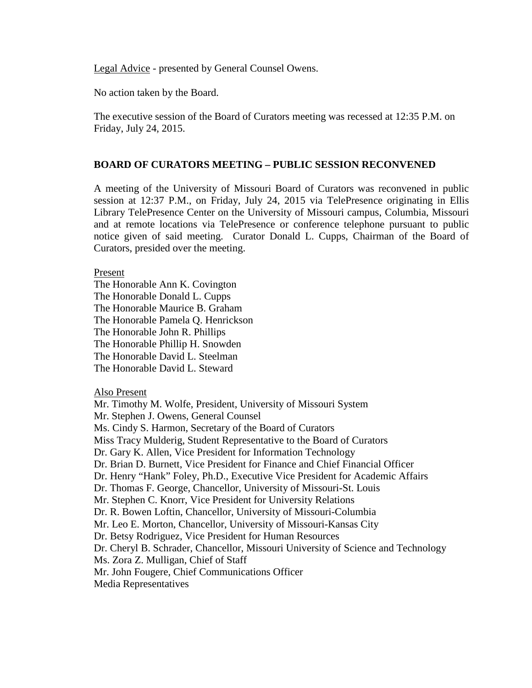Legal Advice - presented by General Counsel Owens.

No action taken by the Board.

The executive session of the Board of Curators meeting was recessed at 12:35 P.M. on Friday, July 24, 2015.

## **BOARD OF CURATORS MEETING – PUBLIC SESSION RECONVENED**

A meeting of the University of Missouri Board of Curators was reconvened in public session at 12:37 P.M., on Friday, July 24, 2015 via TelePresence originating in Ellis Library TelePresence Center on the University of Missouri campus, Columbia, Missouri and at remote locations via TelePresence or conference telephone pursuant to public notice given of said meeting. Curator Donald L. Cupps, Chairman of the Board of Curators, presided over the meeting.

## Present

The Honorable Ann K. Covington The Honorable Donald L. Cupps The Honorable Maurice B. Graham The Honorable Pamela Q. Henrickson The Honorable John R. Phillips The Honorable Phillip H. Snowden The Honorable David L. Steelman The Honorable David L. Steward

#### Also Present

Mr. Timothy M. Wolfe, President, University of Missouri System Mr. Stephen J. Owens, General Counsel Ms. Cindy S. Harmon, Secretary of the Board of Curators Miss Tracy Mulderig, Student Representative to the Board of Curators Dr. Gary K. Allen, Vice President for Information Technology Dr. Brian D. Burnett, Vice President for Finance and Chief Financial Officer Dr. Henry "Hank" Foley, Ph.D., Executive Vice President for Academic Affairs Dr. Thomas F. George, Chancellor, University of Missouri-St. Louis Mr. Stephen C. Knorr, Vice President for University Relations Dr. R. Bowen Loftin, Chancellor, University of Missouri-Columbia Mr. Leo E. Morton, Chancellor, University of Missouri-Kansas City Dr. Betsy Rodriguez, Vice President for Human Resources Dr. Cheryl B. Schrader, Chancellor, Missouri University of Science and Technology Ms. Zora Z. Mulligan, Chief of Staff Mr. John Fougere, Chief Communications Officer Media Representatives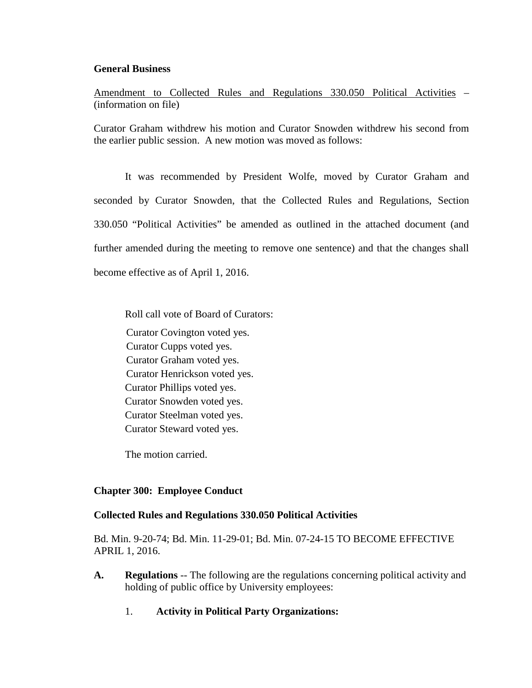## **General Business**

Amendment to Collected Rules and Regulations 330.050 Political Activities – (information on file)

Curator Graham withdrew his motion and Curator Snowden withdrew his second from the earlier public session. A new motion was moved as follows:

It was recommended by President Wolfe, moved by Curator Graham and seconded by Curator Snowden, that the Collected Rules and Regulations, Section 330.050 "Political Activities" be amended as outlined in the attached document (and further amended during the meeting to remove one sentence) and that the changes shall become effective as of April 1, 2016.

Roll call vote of Board of Curators:

Curator Covington voted yes. Curator Cupps voted yes. Curator Graham voted yes. Curator Henrickson voted yes. Curator Phillips voted yes. Curator Snowden voted yes. Curator Steelman voted yes. Curator Steward voted yes.

The motion carried.

# **Chapter 300: Employee Conduct**

# **Collected Rules and Regulations 330.050 Political Activities**

Bd. Min. 9-20-74; Bd. Min. 11-29-01; Bd. Min. 07-24-15 TO BECOME EFFECTIVE APRIL 1, 2016.

- **A. Regulations** -- The following are the regulations concerning political activity and holding of public office by University employees:
	- 1. **Activity in Political Party Organizations:**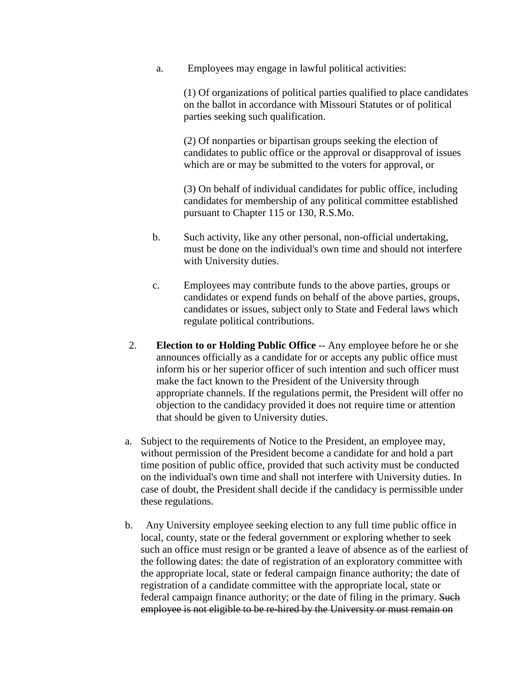a. Employees may engage in lawful political activities:

(1) Of organizations of political parties qualified to place candidates on the ballot in accordance with Missouri Statutes or of political parties seeking such qualification.

(2) Of nonparties or bipartisan groups seeking the election of candidates to public office or the approval or disapproval of issues which are or may be submitted to the voters for approval, or

(3) On behalf of individual candidates for public office, including candidates for membership of any political committee established pursuant to Chapter 115 or 130, R.S.Mo.

- b. Such activity, like any other personal, non-official undertaking, must be done on the individual's own time and should not interfere with University duties.
- c. Employees may contribute funds to the above parties, groups or candidates or expend funds on behalf of the above parties, groups, candidates or issues, subject only to State and Federal laws which regulate political contributions.
- 2. **Election to or Holding Public Office** -- Any employee before he or she announces officially as a candidate for or accepts any public office must inform his or her superior officer of such intention and such officer must make the fact known to the President of the University through appropriate channels. If the regulations permit, the President will offer no objection to the candidacy provided it does not require time or attention that should be given to University duties.
- a. Subject to the requirements of Notice to the President, an employee may, without permission of the President become a candidate for and hold a part time position of public office, provided that such activity must be conducted on the individual's own time and shall not interfere with University duties. In case of doubt, the President shall decide if the candidacy is permissible under these regulations.
- b. Any University employee seeking election to any full time public office in local, county, state or the federal government or exploring whether to seek such an office must resign or be granted a leave of absence as of the earliest of the following dates: the date of registration of an exploratory committee with the appropriate local, state or federal campaign finance authority; the date of registration of a candidate committee with the appropriate local, state or federal campaign finance authority; or the date of filing in the primary. Such employee is not eligible to be re-hired by the University or must remain on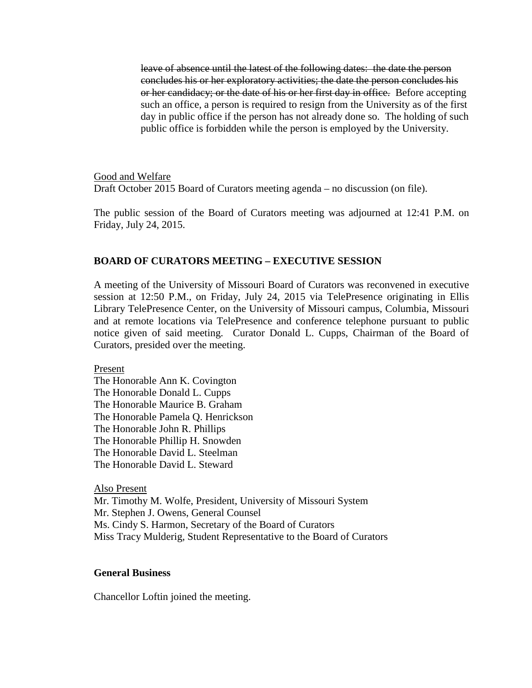leave of absence until the latest of the following dates: the date the person concludes his or her exploratory activities; the date the person concludes his or her candidacy; or the date of his or her first day in office. Before accepting such an office, a person is required to resign from the University as of the first day in public office if the person has not already done so. The holding of such public office is forbidden while the person is employed by the University.

Good and Welfare Draft October 2015 Board of Curators meeting agenda – no discussion (on file).

The public session of the Board of Curators meeting was adjourned at 12:41 P.M. on Friday, July 24, 2015.

#### **BOARD OF CURATORS MEETING – EXECUTIVE SESSION**

A meeting of the University of Missouri Board of Curators was reconvened in executive session at 12:50 P.M., on Friday, July 24, 2015 via TelePresence originating in Ellis Library TelePresence Center, on the University of Missouri campus, Columbia, Missouri and at remote locations via TelePresence and conference telephone pursuant to public notice given of said meeting. Curator Donald L. Cupps, Chairman of the Board of Curators, presided over the meeting.

Present

The Honorable Ann K. Covington The Honorable Donald L. Cupps The Honorable Maurice B. Graham The Honorable Pamela Q. Henrickson The Honorable John R. Phillips The Honorable Phillip H. Snowden The Honorable David L. Steelman The Honorable David L. Steward

Also Present

Mr. Timothy M. Wolfe, President, University of Missouri System Mr. Stephen J. Owens, General Counsel Ms. Cindy S. Harmon, Secretary of the Board of Curators Miss Tracy Mulderig, Student Representative to the Board of Curators

# **General Business**

Chancellor Loftin joined the meeting.